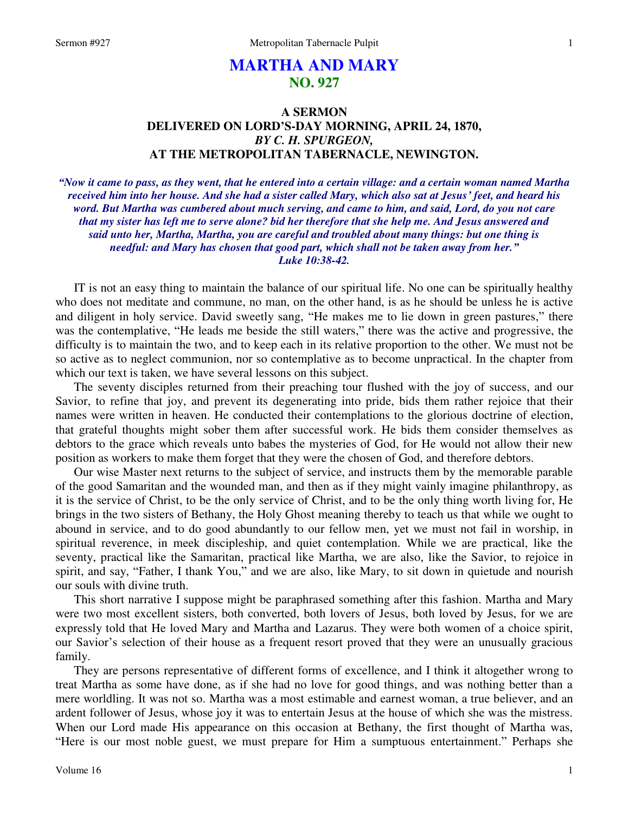# **MARTHA AND MARY NO. 927**

# **A SERMON DELIVERED ON LORD'S-DAY MORNING, APRIL 24, 1870,**  *BY C. H. SPURGEON,*  **AT THE METROPOLITAN TABERNACLE, NEWINGTON.**

*"Now it came to pass, as they went, that he entered into a certain village: and a certain woman named Martha received him into her house. And she had a sister called Mary, which also sat at Jesus' feet, and heard his word. But Martha was cumbered about much serving, and came to him, and said, Lord, do you not care that my sister has left me to serve alone? bid her therefore that she help me. And Jesus answered and said unto her, Martha, Martha, you are careful and troubled about many things: but one thing is needful: and Mary has chosen that good part, which shall not be taken away from her." Luke 10:38-42.* 

IT is not an easy thing to maintain the balance of our spiritual life. No one can be spiritually healthy who does not meditate and commune, no man, on the other hand, is as he should be unless he is active and diligent in holy service. David sweetly sang, "He makes me to lie down in green pastures," there was the contemplative, "He leads me beside the still waters," there was the active and progressive, the difficulty is to maintain the two, and to keep each in its relative proportion to the other. We must not be so active as to neglect communion, nor so contemplative as to become unpractical. In the chapter from which our text is taken, we have several lessons on this subject.

The seventy disciples returned from their preaching tour flushed with the joy of success, and our Savior, to refine that joy, and prevent its degenerating into pride, bids them rather rejoice that their names were written in heaven. He conducted their contemplations to the glorious doctrine of election, that grateful thoughts might sober them after successful work. He bids them consider themselves as debtors to the grace which reveals unto babes the mysteries of God, for He would not allow their new position as workers to make them forget that they were the chosen of God, and therefore debtors.

Our wise Master next returns to the subject of service, and instructs them by the memorable parable of the good Samaritan and the wounded man, and then as if they might vainly imagine philanthropy, as it is the service of Christ, to be the only service of Christ, and to be the only thing worth living for, He brings in the two sisters of Bethany, the Holy Ghost meaning thereby to teach us that while we ought to abound in service, and to do good abundantly to our fellow men, yet we must not fail in worship, in spiritual reverence, in meek discipleship, and quiet contemplation. While we are practical, like the seventy, practical like the Samaritan, practical like Martha, we are also, like the Savior, to rejoice in spirit, and say, "Father, I thank You," and we are also, like Mary, to sit down in quietude and nourish our souls with divine truth.

This short narrative I suppose might be paraphrased something after this fashion. Martha and Mary were two most excellent sisters, both converted, both lovers of Jesus, both loved by Jesus, for we are expressly told that He loved Mary and Martha and Lazarus. They were both women of a choice spirit, our Savior's selection of their house as a frequent resort proved that they were an unusually gracious family.

They are persons representative of different forms of excellence, and I think it altogether wrong to treat Martha as some have done, as if she had no love for good things, and was nothing better than a mere worldling. It was not so. Martha was a most estimable and earnest woman, a true believer, and an ardent follower of Jesus, whose joy it was to entertain Jesus at the house of which she was the mistress. When our Lord made His appearance on this occasion at Bethany, the first thought of Martha was, "Here is our most noble guest, we must prepare for Him a sumptuous entertainment." Perhaps she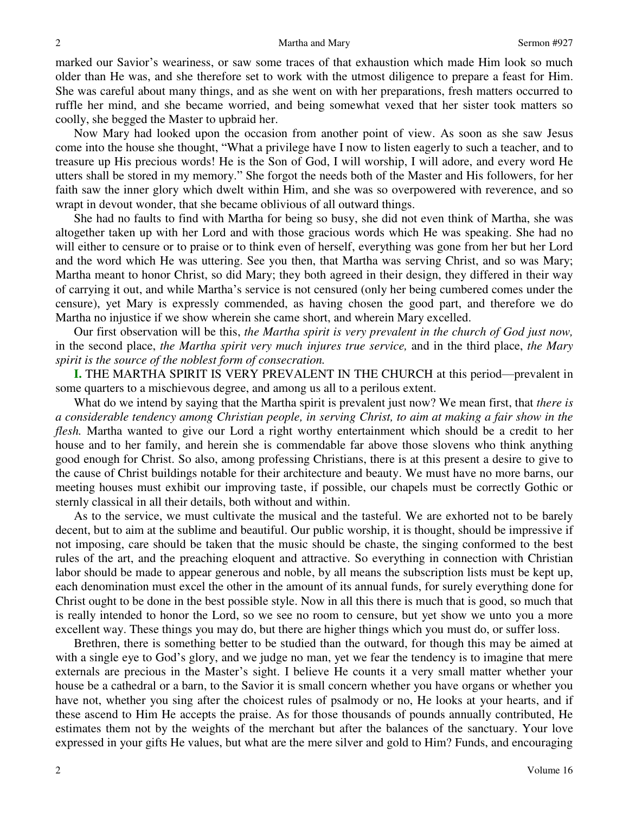marked our Savior's weariness, or saw some traces of that exhaustion which made Him look so much older than He was, and she therefore set to work with the utmost diligence to prepare a feast for Him. She was careful about many things, and as she went on with her preparations, fresh matters occurred to ruffle her mind, and she became worried, and being somewhat vexed that her sister took matters so coolly, she begged the Master to upbraid her.

Now Mary had looked upon the occasion from another point of view. As soon as she saw Jesus come into the house she thought, "What a privilege have I now to listen eagerly to such a teacher, and to treasure up His precious words! He is the Son of God, I will worship, I will adore, and every word He utters shall be stored in my memory." She forgot the needs both of the Master and His followers, for her faith saw the inner glory which dwelt within Him, and she was so overpowered with reverence, and so wrapt in devout wonder, that she became oblivious of all outward things.

She had no faults to find with Martha for being so busy, she did not even think of Martha, she was altogether taken up with her Lord and with those gracious words which He was speaking. She had no will either to censure or to praise or to think even of herself, everything was gone from her but her Lord and the word which He was uttering. See you then, that Martha was serving Christ, and so was Mary; Martha meant to honor Christ, so did Mary; they both agreed in their design, they differed in their way of carrying it out, and while Martha's service is not censured (only her being cumbered comes under the censure), yet Mary is expressly commended, as having chosen the good part, and therefore we do Martha no injustice if we show wherein she came short, and wherein Mary excelled.

Our first observation will be this, *the Martha spirit is very prevalent in the church of God just now,*  in the second place, *the Martha spirit very much injures true service,* and in the third place, *the Mary spirit is the source of the noblest form of consecration.*

**I.** THE MARTHA SPIRIT IS VERY PREVALENT IN THE CHURCH at this period—prevalent in some quarters to a mischievous degree, and among us all to a perilous extent.

What do we intend by saying that the Martha spirit is prevalent just now? We mean first, that *there is a considerable tendency among Christian people, in serving Christ, to aim at making a fair show in the flesh.* Martha wanted to give our Lord a right worthy entertainment which should be a credit to her house and to her family, and herein she is commendable far above those slovens who think anything good enough for Christ. So also, among professing Christians, there is at this present a desire to give to the cause of Christ buildings notable for their architecture and beauty. We must have no more barns, our meeting houses must exhibit our improving taste, if possible, our chapels must be correctly Gothic or sternly classical in all their details, both without and within.

As to the service, we must cultivate the musical and the tasteful. We are exhorted not to be barely decent, but to aim at the sublime and beautiful. Our public worship, it is thought, should be impressive if not imposing, care should be taken that the music should be chaste, the singing conformed to the best rules of the art, and the preaching eloquent and attractive. So everything in connection with Christian labor should be made to appear generous and noble, by all means the subscription lists must be kept up, each denomination must excel the other in the amount of its annual funds, for surely everything done for Christ ought to be done in the best possible style. Now in all this there is much that is good, so much that is really intended to honor the Lord, so we see no room to censure, but yet show we unto you a more excellent way. These things you may do, but there are higher things which you must do, or suffer loss.

Brethren, there is something better to be studied than the outward, for though this may be aimed at with a single eye to God's glory, and we judge no man, yet we fear the tendency is to imagine that mere externals are precious in the Master's sight. I believe He counts it a very small matter whether your house be a cathedral or a barn, to the Savior it is small concern whether you have organs or whether you have not, whether you sing after the choicest rules of psalmody or no, He looks at your hearts, and if these ascend to Him He accepts the praise. As for those thousands of pounds annually contributed, He estimates them not by the weights of the merchant but after the balances of the sanctuary. Your love expressed in your gifts He values, but what are the mere silver and gold to Him? Funds, and encouraging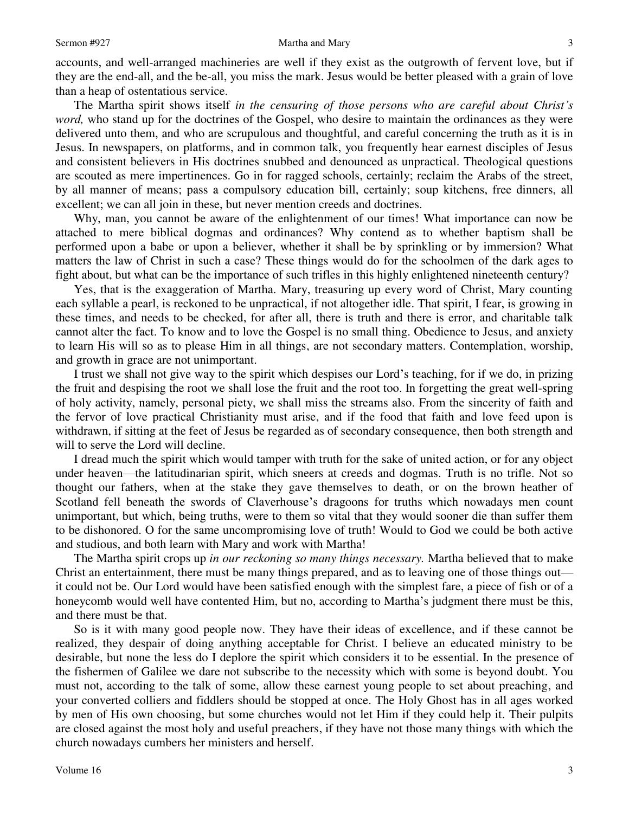accounts, and well-arranged machineries are well if they exist as the outgrowth of fervent love, but if they are the end-all, and the be-all, you miss the mark. Jesus would be better pleased with a grain of love than a heap of ostentatious service.

The Martha spirit shows itself *in the censuring of those persons who are careful about Christ's word*, who stand up for the doctrines of the Gospel, who desire to maintain the ordinances as they were delivered unto them, and who are scrupulous and thoughtful, and careful concerning the truth as it is in Jesus. In newspapers, on platforms, and in common talk, you frequently hear earnest disciples of Jesus and consistent believers in His doctrines snubbed and denounced as unpractical. Theological questions are scouted as mere impertinences. Go in for ragged schools, certainly; reclaim the Arabs of the street, by all manner of means; pass a compulsory education bill, certainly; soup kitchens, free dinners, all excellent; we can all join in these, but never mention creeds and doctrines.

Why, man, you cannot be aware of the enlightenment of our times! What importance can now be attached to mere biblical dogmas and ordinances? Why contend as to whether baptism shall be performed upon a babe or upon a believer, whether it shall be by sprinkling or by immersion? What matters the law of Christ in such a case? These things would do for the schoolmen of the dark ages to fight about, but what can be the importance of such trifles in this highly enlightened nineteenth century?

Yes, that is the exaggeration of Martha. Mary, treasuring up every word of Christ, Mary counting each syllable a pearl, is reckoned to be unpractical, if not altogether idle. That spirit, I fear, is growing in these times, and needs to be checked, for after all, there is truth and there is error, and charitable talk cannot alter the fact. To know and to love the Gospel is no small thing. Obedience to Jesus, and anxiety to learn His will so as to please Him in all things, are not secondary matters. Contemplation, worship, and growth in grace are not unimportant.

I trust we shall not give way to the spirit which despises our Lord's teaching, for if we do, in prizing the fruit and despising the root we shall lose the fruit and the root too. In forgetting the great well-spring of holy activity, namely, personal piety, we shall miss the streams also. From the sincerity of faith and the fervor of love practical Christianity must arise, and if the food that faith and love feed upon is withdrawn, if sitting at the feet of Jesus be regarded as of secondary consequence, then both strength and will to serve the Lord will decline.

I dread much the spirit which would tamper with truth for the sake of united action, or for any object under heaven—the latitudinarian spirit, which sneers at creeds and dogmas. Truth is no trifle. Not so thought our fathers, when at the stake they gave themselves to death, or on the brown heather of Scotland fell beneath the swords of Claverhouse's dragoons for truths which nowadays men count unimportant, but which, being truths, were to them so vital that they would sooner die than suffer them to be dishonored. O for the same uncompromising love of truth! Would to God we could be both active and studious, and both learn with Mary and work with Martha!

The Martha spirit crops up *in our reckoning so many things necessary.* Martha believed that to make Christ an entertainment, there must be many things prepared, and as to leaving one of those things out it could not be. Our Lord would have been satisfied enough with the simplest fare, a piece of fish or of a honeycomb would well have contented Him, but no, according to Martha's judgment there must be this, and there must be that.

So is it with many good people now. They have their ideas of excellence, and if these cannot be realized, they despair of doing anything acceptable for Christ. I believe an educated ministry to be desirable, but none the less do I deplore the spirit which considers it to be essential. In the presence of the fishermen of Galilee we dare not subscribe to the necessity which with some is beyond doubt. You must not, according to the talk of some, allow these earnest young people to set about preaching, and your converted colliers and fiddlers should be stopped at once. The Holy Ghost has in all ages worked by men of His own choosing, but some churches would not let Him if they could help it. Their pulpits are closed against the most holy and useful preachers, if they have not those many things with which the church nowadays cumbers her ministers and herself.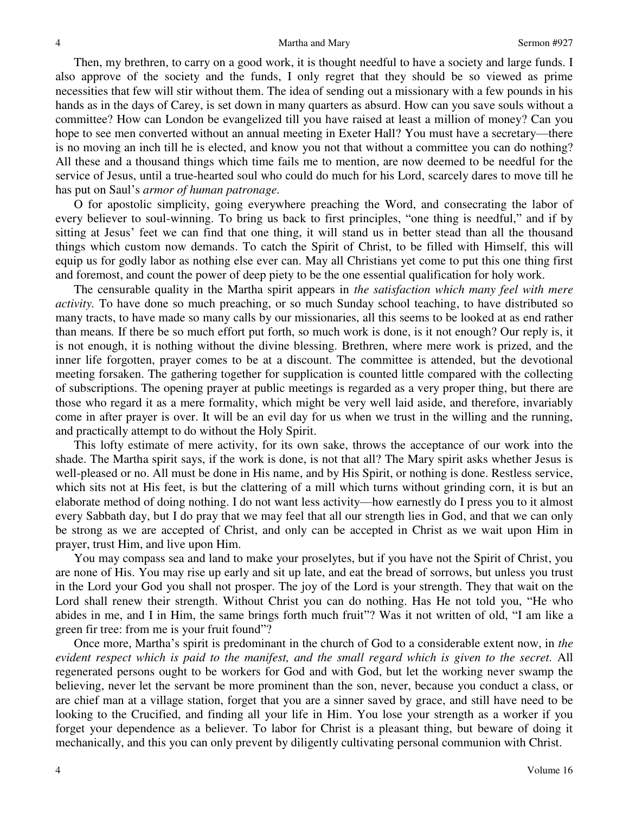#### Martha and Mary Sermon #927

Then, my brethren, to carry on a good work, it is thought needful to have a society and large funds. I also approve of the society and the funds, I only regret that they should be so viewed as prime necessities that few will stir without them. The idea of sending out a missionary with a few pounds in his hands as in the days of Carey, is set down in many quarters as absurd. How can you save souls without a committee? How can London be evangelized till you have raised at least a million of money? Can you hope to see men converted without an annual meeting in Exeter Hall? You must have a secretary—there is no moving an inch till he is elected, and know you not that without a committee you can do nothing? All these and a thousand things which time fails me to mention, are now deemed to be needful for the service of Jesus, until a true-hearted soul who could do much for his Lord, scarcely dares to move till he has put on Saul's *armor of human patronage.*

O for apostolic simplicity, going everywhere preaching the Word, and consecrating the labor of every believer to soul-winning. To bring us back to first principles, "one thing is needful," and if by sitting at Jesus' feet we can find that one thing, it will stand us in better stead than all the thousand things which custom now demands. To catch the Spirit of Christ, to be filled with Himself, this will equip us for godly labor as nothing else ever can. May all Christians yet come to put this one thing first and foremost, and count the power of deep piety to be the one essential qualification for holy work.

The censurable quality in the Martha spirit appears in *the satisfaction which many feel with mere activity.* To have done so much preaching, or so much Sunday school teaching, to have distributed so many tracts, to have made so many calls by our missionaries, all this seems to be looked at as end rather than means*.* If there be so much effort put forth, so much work is done, is it not enough? Our reply is, it is not enough, it is nothing without the divine blessing. Brethren, where mere work is prized, and the inner life forgotten, prayer comes to be at a discount. The committee is attended, but the devotional meeting forsaken. The gathering together for supplication is counted little compared with the collecting of subscriptions. The opening prayer at public meetings is regarded as a very proper thing, but there are those who regard it as a mere formality, which might be very well laid aside, and therefore, invariably come in after prayer is over. It will be an evil day for us when we trust in the willing and the running, and practically attempt to do without the Holy Spirit.

This lofty estimate of mere activity, for its own sake, throws the acceptance of our work into the shade. The Martha spirit says, if the work is done, is not that all? The Mary spirit asks whether Jesus is well-pleased or no. All must be done in His name, and by His Spirit, or nothing is done. Restless service, which sits not at His feet, is but the clattering of a mill which turns without grinding corn, it is but an elaborate method of doing nothing. I do not want less activity—how earnestly do I press you to it almost every Sabbath day, but I do pray that we may feel that all our strength lies in God, and that we can only be strong as we are accepted of Christ, and only can be accepted in Christ as we wait upon Him in prayer, trust Him, and live upon Him.

You may compass sea and land to make your proselytes, but if you have not the Spirit of Christ, you are none of His. You may rise up early and sit up late, and eat the bread of sorrows, but unless you trust in the Lord your God you shall not prosper. The joy of the Lord is your strength. They that wait on the Lord shall renew their strength. Without Christ you can do nothing. Has He not told you, "He who abides in me, and I in Him, the same brings forth much fruit"? Was it not written of old, "I am like a green fir tree: from me is your fruit found"?

Once more, Martha's spirit is predominant in the church of God to a considerable extent now, in *the evident respect which is paid to the manifest, and the small regard which is given to the secret.* All regenerated persons ought to be workers for God and with God, but let the working never swamp the believing, never let the servant be more prominent than the son, never, because you conduct a class, or are chief man at a village station, forget that you are a sinner saved by grace, and still have need to be looking to the Crucified, and finding all your life in Him. You lose your strength as a worker if you forget your dependence as a believer. To labor for Christ is a pleasant thing, but beware of doing it mechanically, and this you can only prevent by diligently cultivating personal communion with Christ.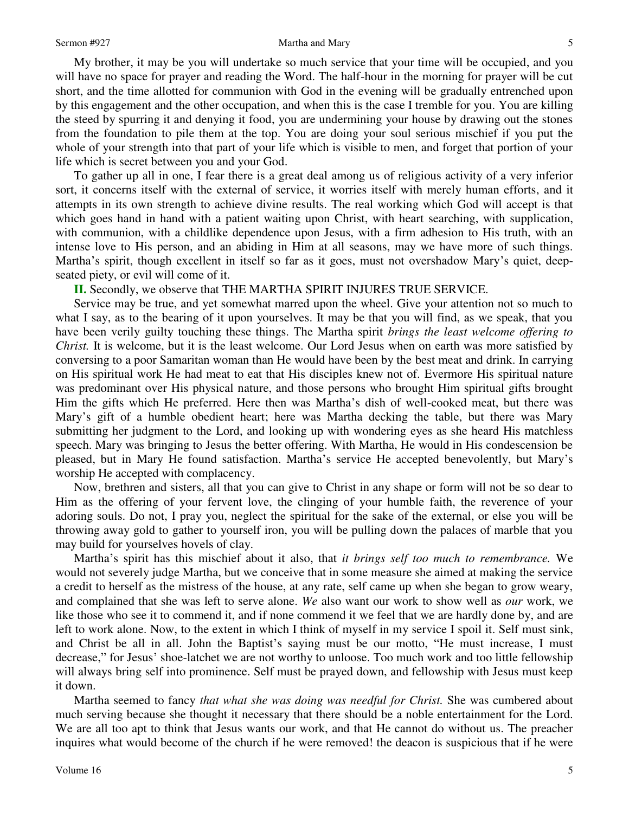My brother, it may be you will undertake so much service that your time will be occupied, and you will have no space for prayer and reading the Word. The half-hour in the morning for prayer will be cut short, and the time allotted for communion with God in the evening will be gradually entrenched upon by this engagement and the other occupation, and when this is the case I tremble for you. You are killing the steed by spurring it and denying it food, you are undermining your house by drawing out the stones from the foundation to pile them at the top. You are doing your soul serious mischief if you put the whole of your strength into that part of your life which is visible to men, and forget that portion of your life which is secret between you and your God.

To gather up all in one, I fear there is a great deal among us of religious activity of a very inferior sort, it concerns itself with the external of service, it worries itself with merely human efforts, and it attempts in its own strength to achieve divine results. The real working which God will accept is that which goes hand in hand with a patient waiting upon Christ, with heart searching, with supplication, with communion, with a childlike dependence upon Jesus, with a firm adhesion to His truth, with an intense love to His person, and an abiding in Him at all seasons, may we have more of such things. Martha's spirit, though excellent in itself so far as it goes, must not overshadow Mary's quiet, deepseated piety, or evil will come of it.

**II.** Secondly, we observe that THE MARTHA SPIRIT INJURES TRUE SERVICE.

Service may be true, and yet somewhat marred upon the wheel. Give your attention not so much to what I say, as to the bearing of it upon yourselves. It may be that you will find, as we speak, that you have been verily guilty touching these things. The Martha spirit *brings the least welcome offering to Christ.* It is welcome, but it is the least welcome. Our Lord Jesus when on earth was more satisfied by conversing to a poor Samaritan woman than He would have been by the best meat and drink. In carrying on His spiritual work He had meat to eat that His disciples knew not of. Evermore His spiritual nature was predominant over His physical nature, and those persons who brought Him spiritual gifts brought Him the gifts which He preferred. Here then was Martha's dish of well-cooked meat, but there was Mary's gift of a humble obedient heart; here was Martha decking the table, but there was Mary submitting her judgment to the Lord, and looking up with wondering eyes as she heard His matchless speech. Mary was bringing to Jesus the better offering. With Martha, He would in His condescension be pleased, but in Mary He found satisfaction. Martha's service He accepted benevolently, but Mary's worship He accepted with complacency.

Now, brethren and sisters, all that you can give to Christ in any shape or form will not be so dear to Him as the offering of your fervent love, the clinging of your humble faith, the reverence of your adoring souls. Do not, I pray you, neglect the spiritual for the sake of the external, or else you will be throwing away gold to gather to yourself iron, you will be pulling down the palaces of marble that you may build for yourselves hovels of clay.

Martha's spirit has this mischief about it also, that *it brings self too much to remembrance.* We would not severely judge Martha, but we conceive that in some measure she aimed at making the service a credit to herself as the mistress of the house, at any rate, self came up when she began to grow weary, and complained that she was left to serve alone. *We* also want our work to show well as *our* work, we like those who see it to commend it, and if none commend it we feel that we are hardly done by, and are left to work alone. Now, to the extent in which I think of myself in my service I spoil it. Self must sink, and Christ be all in all. John the Baptist's saying must be our motto, "He must increase, I must decrease," for Jesus' shoe-latchet we are not worthy to unloose. Too much work and too little fellowship will always bring self into prominence. Self must be prayed down, and fellowship with Jesus must keep it down.

Martha seemed to fancy *that what she was doing was needful for Christ.* She was cumbered about much serving because she thought it necessary that there should be a noble entertainment for the Lord. We are all too apt to think that Jesus wants our work, and that He cannot do without us. The preacher inquires what would become of the church if he were removed! the deacon is suspicious that if he were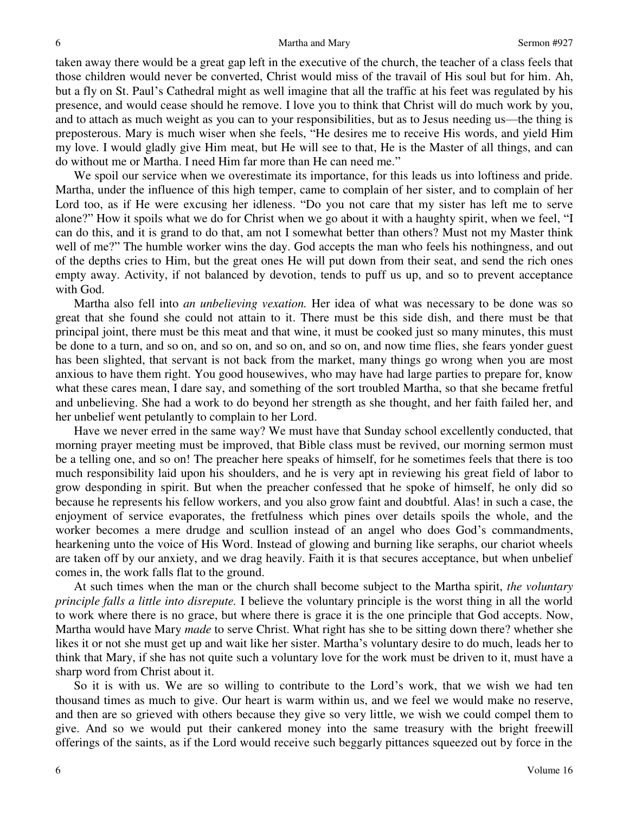taken away there would be a great gap left in the executive of the church, the teacher of a class feels that those children would never be converted, Christ would miss of the travail of His soul but for him. Ah, but a fly on St. Paul's Cathedral might as well imagine that all the traffic at his feet was regulated by his presence, and would cease should he remove. I love you to think that Christ will do much work by you, and to attach as much weight as you can to your responsibilities, but as to Jesus needing us—the thing is preposterous. Mary is much wiser when she feels, "He desires me to receive His words, and yield Him my love. I would gladly give Him meat, but He will see to that, He is the Master of all things, and can do without me or Martha. I need Him far more than He can need me."

We spoil our service when we overestimate its importance, for this leads us into loftiness and pride. Martha, under the influence of this high temper, came to complain of her sister, and to complain of her Lord too, as if He were excusing her idleness. "Do you not care that my sister has left me to serve alone?" How it spoils what we do for Christ when we go about it with a haughty spirit, when we feel, "I can do this, and it is grand to do that, am not I somewhat better than others? Must not my Master think well of me?" The humble worker wins the day. God accepts the man who feels his nothingness, and out of the depths cries to Him, but the great ones He will put down from their seat, and send the rich ones empty away. Activity, if not balanced by devotion, tends to puff us up, and so to prevent acceptance with God.

Martha also fell into *an unbelieving vexation.* Her idea of what was necessary to be done was so great that she found she could not attain to it. There must be this side dish, and there must be that principal joint, there must be this meat and that wine, it must be cooked just so many minutes, this must be done to a turn, and so on, and so on, and so on, and so on, and now time flies, she fears yonder guest has been slighted, that servant is not back from the market, many things go wrong when you are most anxious to have them right. You good housewives, who may have had large parties to prepare for, know what these cares mean, I dare say, and something of the sort troubled Martha, so that she became fretful and unbelieving. She had a work to do beyond her strength as she thought, and her faith failed her, and her unbelief went petulantly to complain to her Lord.

Have we never erred in the same way? We must have that Sunday school excellently conducted, that morning prayer meeting must be improved, that Bible class must be revived, our morning sermon must be a telling one, and so on! The preacher here speaks of himself, for he sometimes feels that there is too much responsibility laid upon his shoulders, and he is very apt in reviewing his great field of labor to grow desponding in spirit. But when the preacher confessed that he spoke of himself, he only did so because he represents his fellow workers, and you also grow faint and doubtful. Alas! in such a case, the enjoyment of service evaporates, the fretfulness which pines over details spoils the whole, and the worker becomes a mere drudge and scullion instead of an angel who does God's commandments, hearkening unto the voice of His Word. Instead of glowing and burning like seraphs, our chariot wheels are taken off by our anxiety, and we drag heavily. Faith it is that secures acceptance, but when unbelief comes in, the work falls flat to the ground.

At such times when the man or the church shall become subject to the Martha spirit, *the voluntary principle falls a little into disrepute.* I believe the voluntary principle is the worst thing in all the world to work where there is no grace, but where there is grace it is the one principle that God accepts. Now, Martha would have Mary *made* to serve Christ. What right has she to be sitting down there? whether she likes it or not she must get up and wait like her sister. Martha's voluntary desire to do much, leads her to think that Mary, if she has not quite such a voluntary love for the work must be driven to it, must have a sharp word from Christ about it.

So it is with us. We are so willing to contribute to the Lord's work, that we wish we had ten thousand times as much to give. Our heart is warm within us, and we feel we would make no reserve, and then are so grieved with others because they give so very little, we wish we could compel them to give. And so we would put their cankered money into the same treasury with the bright freewill offerings of the saints, as if the Lord would receive such beggarly pittances squeezed out by force in the

Volume 16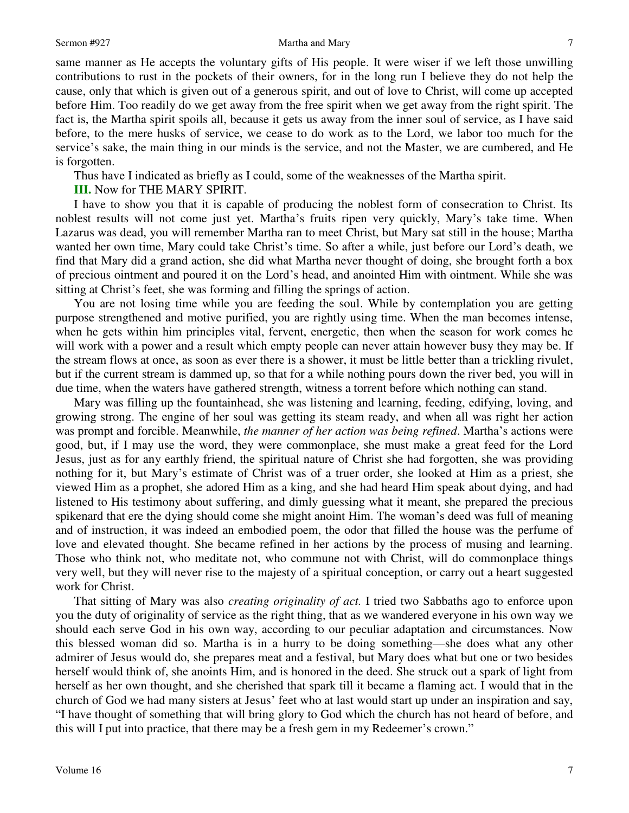same manner as He accepts the voluntary gifts of His people. It were wiser if we left those unwilling contributions to rust in the pockets of their owners, for in the long run I believe they do not help the cause, only that which is given out of a generous spirit, and out of love to Christ, will come up accepted before Him. Too readily do we get away from the free spirit when we get away from the right spirit. The fact is, the Martha spirit spoils all, because it gets us away from the inner soul of service, as I have said before, to the mere husks of service, we cease to do work as to the Lord, we labor too much for the service's sake, the main thing in our minds is the service, and not the Master, we are cumbered, and He is forgotten.

Thus have I indicated as briefly as I could, some of the weaknesses of the Martha spirit.

**III.** Now for THE MARY SPIRIT.

I have to show you that it is capable of producing the noblest form of consecration to Christ. Its noblest results will not come just yet. Martha's fruits ripen very quickly, Mary's take time. When Lazarus was dead, you will remember Martha ran to meet Christ, but Mary sat still in the house; Martha wanted her own time, Mary could take Christ's time. So after a while, just before our Lord's death, we find that Mary did a grand action, she did what Martha never thought of doing, she brought forth a box of precious ointment and poured it on the Lord's head, and anointed Him with ointment. While she was sitting at Christ's feet, she was forming and filling the springs of action.

You are not losing time while you are feeding the soul. While by contemplation you are getting purpose strengthened and motive purified, you are rightly using time. When the man becomes intense, when he gets within him principles vital, fervent, energetic, then when the season for work comes he will work with a power and a result which empty people can never attain however busy they may be. If the stream flows at once, as soon as ever there is a shower, it must be little better than a trickling rivulet, but if the current stream is dammed up, so that for a while nothing pours down the river bed, you will in due time, when the waters have gathered strength, witness a torrent before which nothing can stand.

Mary was filling up the fountainhead, she was listening and learning, feeding, edifying, loving, and growing strong. The engine of her soul was getting its steam ready, and when all was right her action was prompt and forcible. Meanwhile, *the manner of her action was being refined*. Martha's actions were good, but, if I may use the word, they were commonplace, she must make a great feed for the Lord Jesus, just as for any earthly friend, the spiritual nature of Christ she had forgotten, she was providing nothing for it, but Mary's estimate of Christ was of a truer order, she looked at Him as a priest, she viewed Him as a prophet, she adored Him as a king, and she had heard Him speak about dying, and had listened to His testimony about suffering, and dimly guessing what it meant, she prepared the precious spikenard that ere the dying should come she might anoint Him. The woman's deed was full of meaning and of instruction, it was indeed an embodied poem, the odor that filled the house was the perfume of love and elevated thought. She became refined in her actions by the process of musing and learning. Those who think not, who meditate not, who commune not with Christ, will do commonplace things very well, but they will never rise to the majesty of a spiritual conception, or carry out a heart suggested work for Christ.

That sitting of Mary was also *creating originality of act.* I tried two Sabbaths ago to enforce upon you the duty of originality of service as the right thing, that as we wandered everyone in his own way we should each serve God in his own way, according to our peculiar adaptation and circumstances. Now this blessed woman did so. Martha is in a hurry to be doing something—she does what any other admirer of Jesus would do, she prepares meat and a festival, but Mary does what but one or two besides herself would think of, she anoints Him, and is honored in the deed. She struck out a spark of light from herself as her own thought, and she cherished that spark till it became a flaming act. I would that in the church of God we had many sisters at Jesus' feet who at last would start up under an inspiration and say, "I have thought of something that will bring glory to God which the church has not heard of before, and this will I put into practice, that there may be a fresh gem in my Redeemer's crown."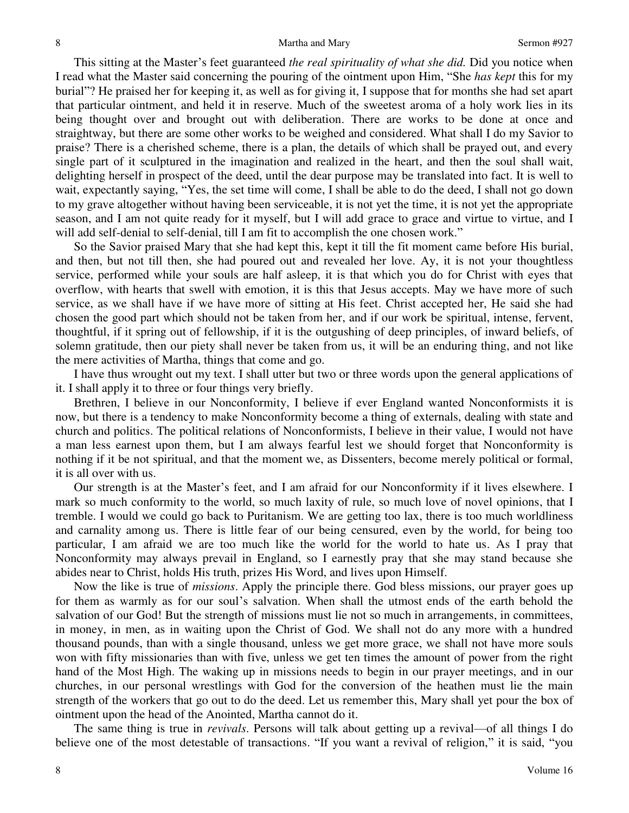This sitting at the Master's feet guaranteed *the real spirituality of what she did.* Did you notice when I read what the Master said concerning the pouring of the ointment upon Him, "She *has kept* this for my burial"? He praised her for keeping it, as well as for giving it, I suppose that for months she had set apart that particular ointment, and held it in reserve. Much of the sweetest aroma of a holy work lies in its being thought over and brought out with deliberation. There are works to be done at once and straightway, but there are some other works to be weighed and considered. What shall I do my Savior to praise? There is a cherished scheme, there is a plan, the details of which shall be prayed out, and every single part of it sculptured in the imagination and realized in the heart, and then the soul shall wait, delighting herself in prospect of the deed, until the dear purpose may be translated into fact. It is well to wait, expectantly saying, "Yes, the set time will come, I shall be able to do the deed, I shall not go down to my grave altogether without having been serviceable, it is not yet the time, it is not yet the appropriate season, and I am not quite ready for it myself, but I will add grace to grace and virtue to virtue, and I will add self-denial to self-denial, till I am fit to accomplish the one chosen work."

So the Savior praised Mary that she had kept this, kept it till the fit moment came before His burial, and then, but not till then, she had poured out and revealed her love. Ay, it is not your thoughtless service, performed while your souls are half asleep, it is that which you do for Christ with eyes that overflow, with hearts that swell with emotion, it is this that Jesus accepts. May we have more of such service, as we shall have if we have more of sitting at His feet. Christ accepted her, He said she had chosen the good part which should not be taken from her, and if our work be spiritual, intense, fervent, thoughtful, if it spring out of fellowship, if it is the outgushing of deep principles, of inward beliefs, of solemn gratitude, then our piety shall never be taken from us, it will be an enduring thing, and not like the mere activities of Martha, things that come and go.

I have thus wrought out my text. I shall utter but two or three words upon the general applications of it. I shall apply it to three or four things very briefly.

Brethren, I believe in our Nonconformity, I believe if ever England wanted Nonconformists it is now, but there is a tendency to make Nonconformity become a thing of externals, dealing with state and church and politics. The political relations of Nonconformists, I believe in their value, I would not have a man less earnest upon them, but I am always fearful lest we should forget that Nonconformity is nothing if it be not spiritual, and that the moment we, as Dissenters, become merely political or formal, it is all over with us.

Our strength is at the Master's feet, and I am afraid for our Nonconformity if it lives elsewhere. I mark so much conformity to the world, so much laxity of rule, so much love of novel opinions, that I tremble. I would we could go back to Puritanism. We are getting too lax, there is too much worldliness and carnality among us. There is little fear of our being censured, even by the world, for being too particular, I am afraid we are too much like the world for the world to hate us. As I pray that Nonconformity may always prevail in England, so I earnestly pray that she may stand because she abides near to Christ, holds His truth, prizes His Word, and lives upon Himself.

Now the like is true of *missions*. Apply the principle there. God bless missions, our prayer goes up for them as warmly as for our soul's salvation. When shall the utmost ends of the earth behold the salvation of our God! But the strength of missions must lie not so much in arrangements, in committees, in money, in men, as in waiting upon the Christ of God. We shall not do any more with a hundred thousand pounds, than with a single thousand, unless we get more grace, we shall not have more souls won with fifty missionaries than with five, unless we get ten times the amount of power from the right hand of the Most High. The waking up in missions needs to begin in our prayer meetings, and in our churches, in our personal wrestlings with God for the conversion of the heathen must lie the main strength of the workers that go out to do the deed. Let us remember this, Mary shall yet pour the box of ointment upon the head of the Anointed, Martha cannot do it.

The same thing is true in *revivals*. Persons will talk about getting up a revival—of all things I do believe one of the most detestable of transactions. "If you want a revival of religion," it is said, "you